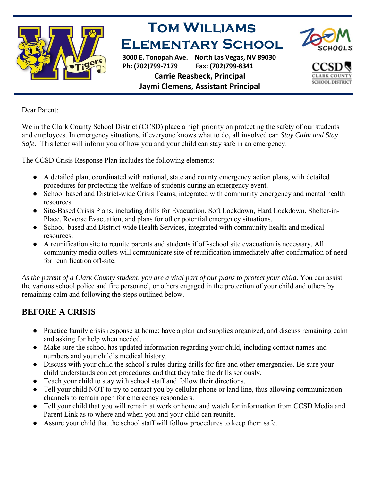

## **Tom Williams Elementary School**

**3000 E. Tonopah Ave. North Las Vegas, NV 89030 Ph: (702)799‐7179 Fax: (702)799‐8341 Carrie Reasbeck, Principal Jaymi Clemens, Assistant Principal**



**SCHOOL DISTRIC** 

Dear Parent:

We in the Clark County School District (CCSD) place a high priority on protecting the safety of our students and employees. In emergency situations, if everyone knows what to do, all involved can *Stay Calm and Stay Safe*. This letter will inform you of how you and your child can stay safe in an emergency.

The CCSD Crisis Response Plan includes the following elements:

- A detailed plan, coordinated with national, state and county emergency action plans, with detailed procedures for protecting the welfare of students during an emergency event.
- School based and District-wide Crisis Teams, integrated with community emergency and mental health resources.
- Site-Based Crisis Plans, including drills for Evacuation, Soft Lockdown, Hard Lockdown, Shelter-in-Place, Reverse Evacuation, and plans for other potential emergency situations.
- School–based and District-wide Health Services, integrated with community health and medical resources.
- A reunification site to reunite parents and students if off-school site evacuation is necessary. All community media outlets will communicate site of reunification immediately after confirmation of need for reunification off-site.

*As the parent of a Clark County student, you are a vital part of our plans to protect your child*. You can assist the various school police and fire personnel, or others engaged in the protection of your child and others by remaining calm and following the steps outlined below.

## **BEFORE A CRISIS**

- Practice family crisis response at home: have a plan and supplies organized, and discuss remaining calm and asking for help when needed.
- Make sure the school has updated information regarding your child, including contact names and numbers and your child's medical history.
- Discuss with your child the school's rules during drills for fire and other emergencies. Be sure your child understands correct procedures and that they take the drills seriously.
- Teach your child to stay with school staff and follow their directions.
- Tell your child NOT to try to contact you by cellular phone or land line, thus allowing communication channels to remain open for emergency responders.
- Tell your child that you will remain at work or home and watch for information from CCSD Media and Parent Link as to where and when you and your child can reunite.
- Assure your child that the school staff will follow procedures to keep them safe.